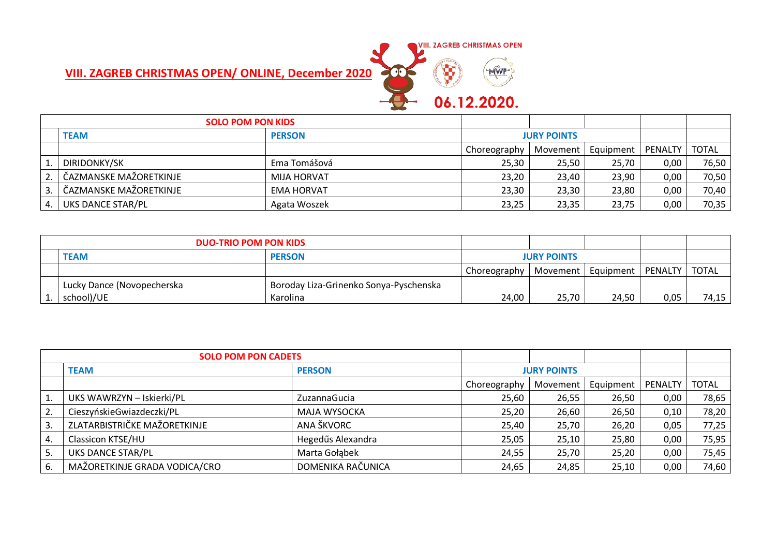## **VIII. ZAGREB CHRISTMAS OPEN/ ONLINE, December 2020**



|      | <b>SOLO POM PON KIDS</b> |                   |                    |       |                      |         |              |
|------|--------------------------|-------------------|--------------------|-------|----------------------|---------|--------------|
|      | <b>TEAM</b>              | <b>PERSON</b>     | <b>JURY POINTS</b> |       |                      |         |              |
|      |                          |                   | Choreography       |       | Movement   Equipment | PENALTY | <b>TOTAL</b> |
|      | DIRIDONKY/SK             | Ema Tomášová      | 25,30              | 25,50 | 25,70                | 0,00    | 76,50        |
| 2.   | ČAZMANSKE MAŽORETKINJE   | MIJA HORVAT       | 23,20              | 23,40 | 23,90                | 0,00    | 70,50        |
| 3.1  | ČAZMANSKE MAŽORETKINJE   | <b>EMA HORVAT</b> | 23,30              | 23,30 | 23,80                | 0,00    | 70,40        |
| 4. I | UKS DANCE STAR/PL        | Agata Woszek      | 23,25              | 23,35 | 23,75                | 0,00    | 70,35        |

|                              | <b>DUO-TRIO POM PON KIDS</b> |                                        |              |                      |       |         |       |
|------------------------------|------------------------------|----------------------------------------|--------------|----------------------|-------|---------|-------|
| <b>PERSON</b><br><b>TEAM</b> |                              |                                        |              | <b>JURY POINTS</b>   |       |         |       |
|                              |                              |                                        | Choreography | Movement   Equipment |       | PENALTY | TOTAL |
|                              | Lucky Dance (Novopecherska   | Boroday Liza-Grinenko Sonya-Pyschenska |              |                      |       |         |       |
|                              | school)/UE                   | Karolina                               | 24,00        | 25,70                | 24,50 | 0,05    | 74,15 |

|    | <b>SOLO POM PON CADETS</b>    |                   |                    |          |           |         |              |
|----|-------------------------------|-------------------|--------------------|----------|-----------|---------|--------------|
|    | <b>TEAM</b>                   | <b>PERSON</b>     | <b>JURY POINTS</b> |          |           |         |              |
|    |                               |                   | Choreography       | Movement | Equipment | PENALTY | <b>TOTAL</b> |
| 1. | UKS WAWRZYN - Iskierki/PL     | ZuzannaGucia      | 25,60              | 26,55    | 26,50     | 0,00    | 78,65        |
| 2. | CieszyńskieGwiazdeczki/PL     | MAJA WYSOCKA      | 25,20              | 26,60    | 26,50     | 0,10    | 78,20        |
| 3. | ZLATARBISTRIČKE MAŽORETKINJE  | ANA ŠKVORC        | 25,40              | 25,70    | 26,20     | 0,05    | 77,25        |
| 4. | Classicon KTSE/HU             | Hegedűs Alexandra | 25,05              | 25,10    | 25,80     | 0,00    | 75,95        |
| 5. | UKS DANCE STAR/PL             | Marta Gołąbek     | 24,55              | 25,70    | 25,20     | 0,00    | 75,45        |
| 6. | MAŽORETKINJE GRADA VODICA/CRO | DOMENIKA RAČUNICA | 24,65              | 24,85    | 25,10     | 0,00    | 74,60        |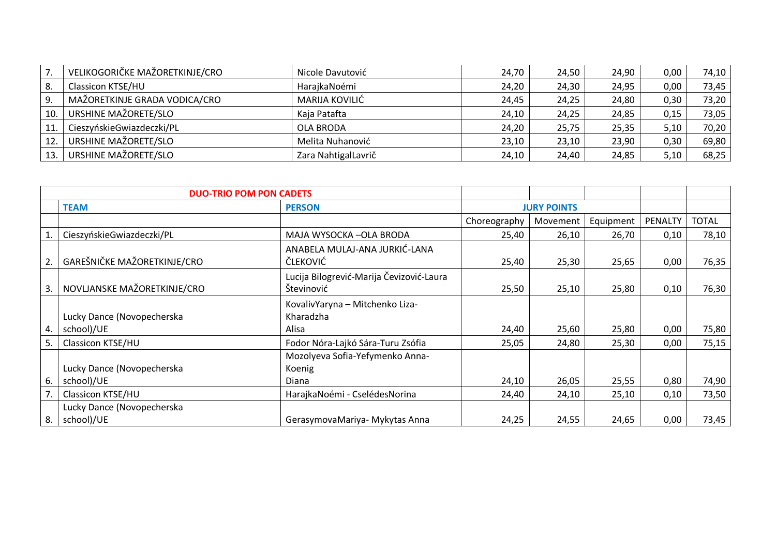|     | VELIKOGORIČKE MAŽORETKINJE/CRO | Nicole Davutović    | 24,70 | 24,50 | 24,90 | 0,00 | 74,10 |
|-----|--------------------------------|---------------------|-------|-------|-------|------|-------|
| 8.  | Classicon KTSE/HU              | HarajkaNoémi        | 24,20 | 24,30 | 24,95 | 0,00 | 73,45 |
|     | MAŽORETKINJE GRADA VODICA/CRO  | MARIJA KOVILIĆ      | 24,45 | 24,25 | 24,80 | 0,30 | 73,20 |
| 10. | URSHINE MAŽORETE/SLO           | Kaja Patafta        | 24,10 | 24,25 | 24,85 | 0,15 | 73,05 |
| 11  | CieszyńskieGwiazdeczki/PL      | OLA BRODA           | 24,20 | 25,75 | 25,35 | 5,10 | 70,20 |
| 12. | URSHINE MAŽORETE/SLO           | Melita Nuhanović    | 23,10 | 23,10 | 23,90 | 0,30 | 69,80 |
| 13. | URSHINE MAŽORETE/SLO           | Zara NahtigalLavrič | 24,10 | 24,40 | 24,85 | 5,10 | 68,25 |

|    | <b>DUO-TRIO POM PON CADETS</b>           |                                                              |              |                    |           |         |              |
|----|------------------------------------------|--------------------------------------------------------------|--------------|--------------------|-----------|---------|--------------|
|    | <b>TEAM</b>                              | <b>PERSON</b>                                                |              | <b>JURY POINTS</b> |           |         |              |
|    |                                          |                                                              | Choreography | Movement           | Equipment | PENALTY | <b>TOTAL</b> |
|    | CieszyńskieGwiazdeczki/PL                | MAJA WYSOCKA-OLA BRODA                                       | 25,40        | 26,10              | 26,70     | 0,10    | 78,10        |
|    | GAREŠNIČKE MAŽORETKINJE/CRO              | ANABELA MULAJ-ANA JURKIĆ-LANA<br>ČLEKOVIĆ                    | 25,40        | 25,30              | 25,65     | 0,00    | 76,35        |
| 3. | NOVLJANSKE MAŽORETKINJE/CRO              | Lucija Bilogrević-Marija Čevizović-Laura<br>Števinović       | 25,50        | 25,10              | 25,80     | 0,10    | 76,30        |
| 4. | Lucky Dance (Novopecherska<br>school)/UE | KovalivYaryna - Mitchenko Liza-<br>Kharadzha<br><b>Alisa</b> | 24,40        | 25,60              | 25,80     | 0,00    | 75,80        |
| 5. | <b>Classicon KTSE/HU</b>                 | Fodor Nóra-Lajkó Sára-Turu Zsófia                            | 25,05        | 24,80              | 25,30     | 0,00    | 75,15        |
| 6. | Lucky Dance (Novopecherska<br>school)/UE | Mozolyeva Sofia-Yefymenko Anna-<br>Koenig<br>Diana           | 24,10        | 26,05              | 25,55     | 0,80    | 74,90        |
|    | Classicon KTSE/HU                        | HarajkaNoémi - CselédesNorina                                | 24,40        | 24,10              | 25,10     | 0,10    | 73,50        |
| 8. | Lucky Dance (Novopecherska<br>school)/UE | GerasymovaMariya- Mykytas Anna                               | 24,25        | 24,55              | 24,65     | 0,00    | 73,45        |